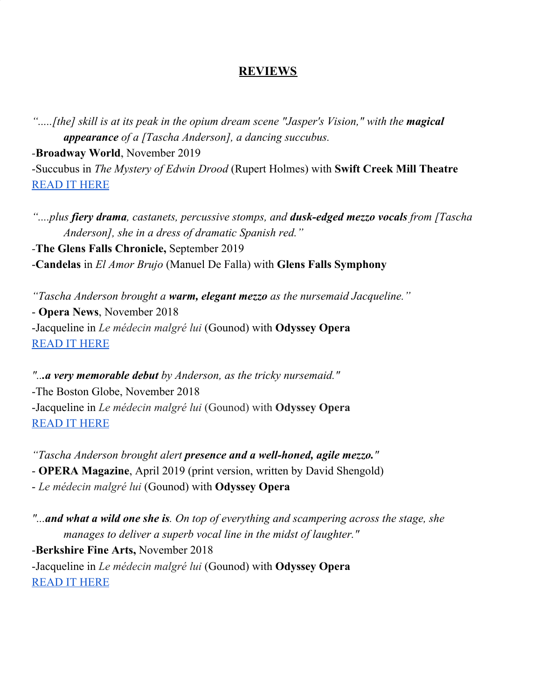## **REVIEWS**

*".....[the] skill is at its peak in the opium dream scene "Jasper's Vision," with the magical appearance of a [Tascha Anderson], a dancing succubus.*

*-***Broadway World**, November 2019

-Succubus in *The Mystery of Edwin Drood* (Rupert Holmes) with **Swift Creek Mill Theatre** [READ](https://www.broadwayworld.com/norfolk/article/BWW-Review-THE-MYSTERY-OF-EDWIN-DROOD-at-Swift-Creek-Mill-Theatre-Shines-through-the-Confusion-20191125) IT HERE

*"....plus fiery drama, castanets, percussive stomps, and dusk-edged mezzo vocals from [Tascha Anderson], she in a dress of dramatic Spanish red."*

*-***The Glens Falls Chronicle,** September 2019 -**Candelas** in *El Amor Brujo* (Manuel De Falla) with **Glens Falls Symphony**

*"Tascha Anderson brought a warm, elegant mezzo as the nursemaid Jacqueline."* - **Opera News**, November 2018 -Jacqueline in *Le médecin malgré lui* (Gounod) with **Odyssey Opera** [READ](https://www.operanews.com/Opera_News_Magazine/2019/2/Reviews/BOSTON__Le_M%C3%A9decin_Malgr%C3%A9-Lui.html?fbclid=IwAR3Uue6euoLrn8QibFka4nCpb_EW63049kKq_k-QMt4WgfHpyjILFYdVbLc) IT HERE

*"...a very memorable debut by Anderson, as the tricky nursemaid."* -The Boston Globe, November 2018 -Jacqueline in *Le médecin malgré lui* (Gounod) with **Odyssey Opera** [READ](https://www.bostonglobe.com/arts/2018/11/10/odyssey-medecin-malgre-lui-just-what-doctor-ordered/VUmV7avo2qUanJGvjd02PN/story.html) IT HERE

*"Tascha Anderson brought alert presence and a well-honed, agile mezzo."* - **OPERA Magazine**, April 2019 (print version, written by David Shengold) - *Le médecin malgré lui* (Gounod) with **Odyssey Opera**

*"...and what a wild one she is. On top of everything and scampering across the stage, she manages to deliver a superb vocal line in the midst of laughter."*

-**Berkshire Fine Arts,** November 2018 -Jacqueline in *Le médecin malgré lui* (Gounod) with **Odyssey Opera** [READ](https://www.berkshirefinearts.com/11-10-2018_the-doctor-in-spite-of-himself-at-odyssey-opera.htm) IT HERE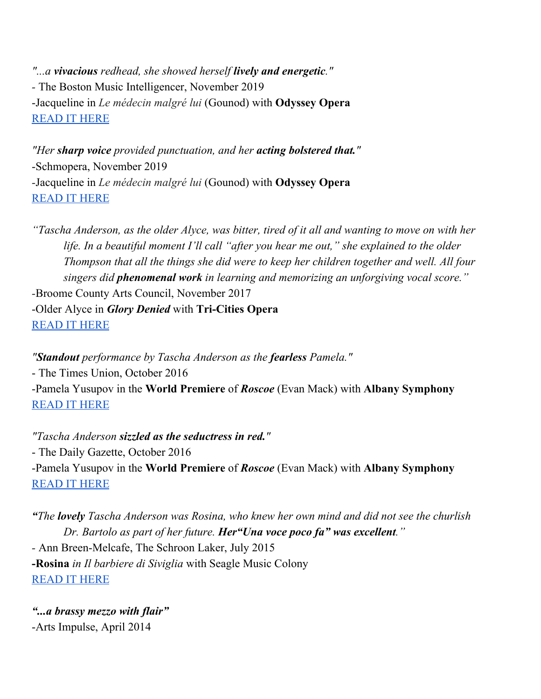*"...a vivacious redhead, she showed herself lively and energetic." -* The Boston Music Intelligencer, November 2019 -Jacqueline in *Le médecin malgré lui* (Gounod) with **Odyssey Opera** [READ](https://www.classical-scene.com/2018/11/10/gounod-moliere-doctor/) IT HERE

*"Her sharp voice provided punctuation, and her acting bolstered that."* -Schmopera, November 2019 *-*Jacqueline in *Le médecin malgré lui* (Gounod) with **Odyssey Opera** [READ](https://www.schmopera.com/wacky-silly-medecin-malgre-lui-an-over-the-top-delight/) IT HERE

"Tascha Anderson, as the older Alyce, was bitter, tired of it all and wanting to move on with her *life. In a beautiful moment I'll call "after you hear me out," she explained to the older Thompson that all the things she did were to keep her children together and well. All four singers did phenomenal work in learning and memorizing an unforgiving vocal score." -*Broome County Arts Council, November 2017 -Older Alyce in *Glory Denied* with **Tri-Cities Opera** [READ](https://broomearts.org/tcos-pow-opera-packs-emotional-wallop/) IT HERE

*"Standout performance by Tascha Anderson as the fearless Pamela."* - The Times Union, October 2016 -Pamela Yusupov in the **World Premiere** of *Roscoe* (Evan Mack) with **Albany Symphony** [READ](https://www.timesunion.com/local/article/From-book-to-opera-Roscoe-triumphs-9975025.php) IT HERE

*"Tascha Anderson sizzled as the seductress in red."* - The Daily Gazette, October 2016 -Pamela Yusupov in the **World Premiere** of *Roscoe* (Evan Mack) with **Albany Symphony** [READ](https://dailygazette.com/article/2016/10/16/albany-symphony-orchestras-roscoe-beautiful-long) IT HERE

*"The lovely Tascha Anderson was Rosina, who knew her own mind and did not see the churlish Dr. Bartolo as part of her future. Her"Una voce poco fa" was excellent." -* Ann Breen-Melcafe, The Schroon Laker, July 2015 **-Rosina** *in Il barbiere di Siviglia* with Seagle Music Colony [READ](http://schroonlaker.com/blog-roll/2015/7/22/the-amazing-production-and-cast-of-the-barber-of-seville) IT HERE

*"...a brassy mezzo with flair"* -Arts Impulse, April 2014